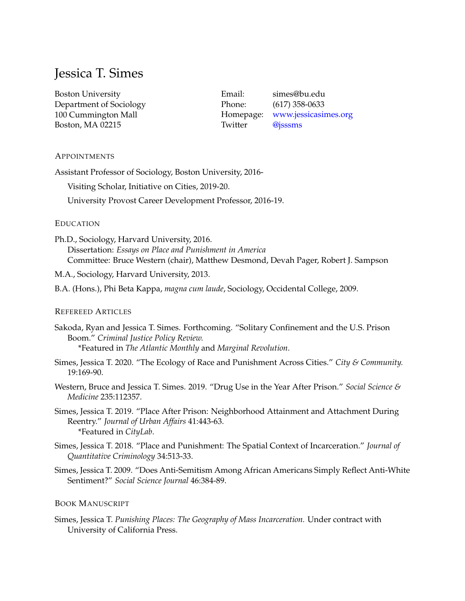# Jessica T. Simes

Boston University Department of Sociology 100 Cummington Mall Boston, MA 02215

Email: simes@bu.edu Phone: (617) 358-0633 Homepage: <www.jessicasimes.org> Twitter [@jsssms](https://twitter.com/jsssms)

# **APPOINTMENTS**

Assistant Professor of Sociology, Boston University, 2016-

Visiting Scholar, Initiative on Cities, 2019-20.

University Provost Career Development Professor, 2016-19.

# EDUCATION

Ph.D., Sociology, Harvard University, 2016. Dissertation: *Essays on Place and Punishment in America* Committee: Bruce Western (chair), Matthew Desmond, Devah Pager, Robert J. Sampson

M.A., Sociology, Harvard University, 2013.

B.A. (Hons.), Phi Beta Kappa, *magna cum laude*, Sociology, Occidental College, 2009.

### REFEREED ARTICLES

Sakoda, Ryan and Jessica T. Simes. Forthcoming. "Solitary Confinement and the U.S. Prison Boom." *Criminal Justice Policy Review.* \*Featured in *[The Atlantic Monthly](https://www.theatlantic.com/culture/archive/2020/04/why-boredom-affects-us-so-much/610114/)* and *[Marginal Revolution](https://marginalrevolution.com/marginalrevolution/2020/01/solitary-confinement-is-torture)*.

Simes, Jessica T. 2020. "The Ecology of Race and Punishment Across Cities." *City & Community.* 19:169-90.

Western, Bruce and Jessica T. Simes. 2019. "Drug Use in the Year After Prison." *Social Science & Medicine* 235:112357.

- Simes, Jessica T. 2019. "Place After Prison: Neighborhood Attainment and Attachment During Reentry." *Journal of Urban Affairs* 41:443-63. \*Featured in *[CityLab](https://www.citylab.com/life/2018/08/released-prisoners-struggle-to-establish-neighborhood-connections/568033/)*.
- Simes, Jessica T. 2018. "Place and Punishment: The Spatial Context of Incarceration." *Journal of Quantitative Criminology* 34:513-33.
- Simes, Jessica T. 2009. "Does Anti-Semitism Among African Americans Simply Reflect Anti-White Sentiment?" *Social Science Journal* 46:384-89.

# BOOK MANUSCRIPT

Simes, Jessica T. *Punishing Places: The Geography of Mass Incarceration.* Under contract with University of California Press.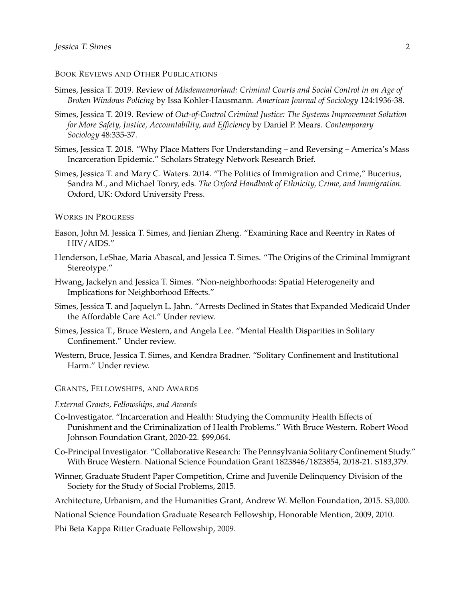### BOOK REVIEWS AND OTHER PUBLICATIONS

- Simes, Jessica T. 2019. Review of *Misdemeanorland: Criminal Courts and Social Control in an Age of Broken Windows Policing* by Issa Kohler-Hausmann. *American Journal of Sociology* 124:1936-38.
- Simes, Jessica T. 2019. Review of *Out-of-Control Criminal Justice: The Systems Improvement Solution for More Safety, Justice, Accountability, and Efficiency* by Daniel P. Mears. *Contemporary Sociology* 48:335-37.
- Simes, Jessica T. 2018. "Why Place Matters For Understanding and Reversing America's Mass Incarceration Epidemic." Scholars Strategy Network Research Brief.
- Simes, Jessica T. and Mary C. Waters. 2014. "The Politics of Immigration and Crime," Bucerius, Sandra M., and Michael Tonry, eds. *The Oxford Handbook of Ethnicity, Crime, and Immigration.* Oxford, UK: Oxford University Press.

#### WORKS IN PROGRESS

- Eason, John M. Jessica T. Simes, and Jienian Zheng. "Examining Race and Reentry in Rates of HIV/AIDS."
- Henderson, LeShae, Maria Abascal, and Jessica T. Simes. "The Origins of the Criminal Immigrant Stereotype."
- Hwang, Jackelyn and Jessica T. Simes. "Non-neighborhoods: Spatial Heterogeneity and Implications for Neighborhood Effects."
- Simes, Jessica T. and Jaquelyn L. Jahn. "Arrests Declined in States that Expanded Medicaid Under the Affordable Care Act." Under review.
- Simes, Jessica T., Bruce Western, and Angela Lee. "Mental Health Disparities in Solitary Confinement." Under review.
- Western, Bruce, Jessica T. Simes, and Kendra Bradner. "Solitary Confinement and Institutional Harm." Under review.

## GRANTS, FELLOWSHIPS, AND AWARDS

#### *External Grants, Fellowships, and Awards*

- Co-Investigator. "Incarceration and Health: Studying the Community Health Effects of Punishment and the Criminalization of Health Problems." With Bruce Western. Robert Wood Johnson Foundation Grant, 2020-22. \$99,064.
- Co-Principal Investigator. "Collaborative Research: The Pennsylvania Solitary Confinement Study." With Bruce Western. National Science Foundation Grant 1823846/1823854, 2018-21. \$183,379.
- Winner, Graduate Student Paper Competition, Crime and Juvenile Delinquency Division of the Society for the Study of Social Problems, 2015.
- Architecture, Urbanism, and the Humanities Grant, Andrew W. Mellon Foundation, 2015. \$3,000.
- National Science Foundation Graduate Research Fellowship, Honorable Mention, 2009, 2010.

Phi Beta Kappa Ritter Graduate Fellowship, 2009.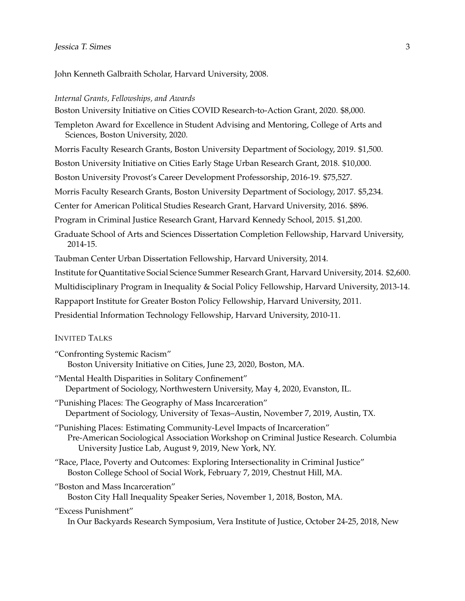John Kenneth Galbraith Scholar, Harvard University, 2008.

#### *Internal Grants, Fellowships, and Awards*

Boston University Initiative on Cities COVID Research-to-Action Grant, 2020. \$8,000.

Templeton Award for Excellence in Student Advising and Mentoring, College of Arts and Sciences, Boston University, 2020.

Morris Faculty Research Grants, Boston University Department of Sociology, 2019. \$1,500.

Boston University Initiative on Cities Early Stage Urban Research Grant, 2018. \$10,000.

Boston University Provost's Career Development Professorship, 2016-19. \$75,527.

Morris Faculty Research Grants, Boston University Department of Sociology, 2017. \$5,234.

Center for American Political Studies Research Grant, Harvard University, 2016. \$896.

Program in Criminal Justice Research Grant, Harvard Kennedy School, 2015. \$1,200.

Graduate School of Arts and Sciences Dissertation Completion Fellowship, Harvard University, 2014-15.

Taubman Center Urban Dissertation Fellowship, Harvard University, 2014.

Institute for Quantitative Social Science Summer Research Grant, Harvard University, 2014. \$2,600.

Multidisciplinary Program in Inequality & Social Policy Fellowship, Harvard University, 2013-14.

Rappaport Institute for Greater Boston Policy Fellowship, Harvard University, 2011.

Presidential Information Technology Fellowship, Harvard University, 2010-11.

# INVITED TALKS

"Confronting Systemic Racism" Boston University Initiative on Cities, June 23, 2020, Boston, MA.

"Mental Health Disparities in Solitary Confinement" Department of Sociology, Northwestern University, May 4, 2020, Evanston, IL.

"Punishing Places: The Geography of Mass Incarceration" Department of Sociology, University of Texas–Austin, November 7, 2019, Austin, TX.

"Punishing Places: Estimating Community-Level Impacts of Incarceration" Pre-American Sociological Association Workshop on Criminal Justice Research. Columbia University Justice Lab, August 9, 2019, New York, NY.

- "Race, Place, Poverty and Outcomes: Exploring Intersectionality in Criminal Justice" Boston College School of Social Work, February 7, 2019, Chestnut Hill, MA.
- "Boston and Mass Incarceration" Boston City Hall Inequality Speaker Series, November 1, 2018, Boston, MA.

# "Excess Punishment"

In Our Backyards Research Symposium, Vera Institute of Justice, October 24-25, 2018, New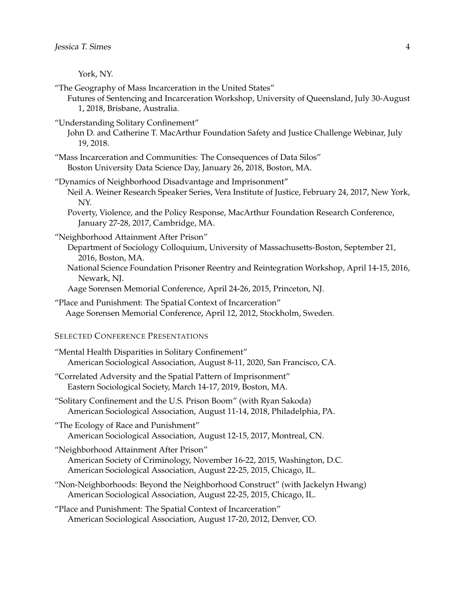York, NY.

- "The Geography of Mass Incarceration in the United States"
	- Futures of Sentencing and Incarceration Workshop, University of Queensland, July 30-August 1, 2018, Brisbane, Australia.
- "Understanding Solitary Confinement"
	- John D. and Catherine T. MacArthur Foundation Safety and Justice Challenge Webinar, July 19, 2018.
- "Mass Incarceration and Communities: The Consequences of Data Silos" Boston University Data Science Day, January 26, 2018, Boston, MA.
- "Dynamics of Neighborhood Disadvantage and Imprisonment" Neil A. Weiner Research Speaker Series, Vera Institute of Justice, February 24, 2017, New York, NY.
	- Poverty, Violence, and the Policy Response, MacArthur Foundation Research Conference, January 27-28, 2017, Cambridge, MA.
- "Neighborhood Attainment After Prison"
	- Department of Sociology Colloquium, University of Massachusetts-Boston, September 21, 2016, Boston, MA.
	- National Science Foundation Prisoner Reentry and Reintegration Workshop, April 14-15, 2016, Newark, NJ.
	- Aage Sorensen Memorial Conference, April 24-26, 2015, Princeton, NJ.
- "Place and Punishment: The Spatial Context of Incarceration" Aage Sorensen Memorial Conference, April 12, 2012, Stockholm, Sweden.

# SELECTED CONFERENCE PRESENTATIONS

- "Mental Health Disparities in Solitary Confinement" American Sociological Association, August 8-11, 2020, San Francisco, CA.
- "Correlated Adversity and the Spatial Pattern of Imprisonment" Eastern Sociological Society, March 14-17, 2019, Boston, MA.
- "Solitary Confinement and the U.S. Prison Boom" (with Ryan Sakoda) American Sociological Association, August 11-14, 2018, Philadelphia, PA.
- "The Ecology of Race and Punishment" American Sociological Association, August 12-15, 2017, Montreal, CN.
- "Neighborhood Attainment After Prison" American Society of Criminology, November 16-22, 2015, Washington, D.C. American Sociological Association, August 22-25, 2015, Chicago, IL.
- "Non-Neighborhoods: Beyond the Neighborhood Construct" (with Jackelyn Hwang) American Sociological Association, August 22-25, 2015, Chicago, IL.
- "Place and Punishment: The Spatial Context of Incarceration" American Sociological Association, August 17-20, 2012, Denver, CO.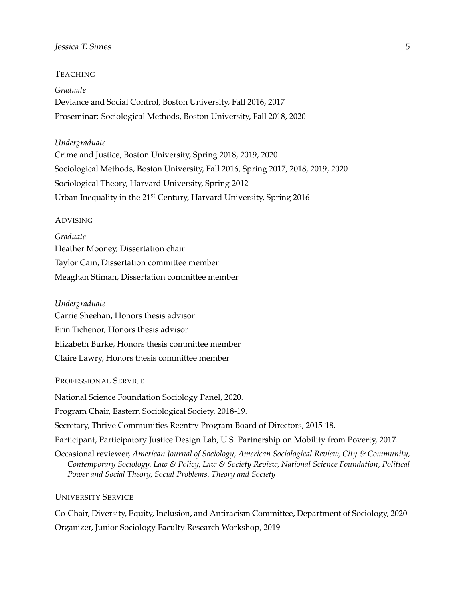## **Jessica T. Simes** 5

## TEACHING

*Graduate* Deviance and Social Control, Boston University, Fall 2016, 2017 Proseminar: Sociological Methods, Boston University, Fall 2018, 2020

# *Undergraduate*

Crime and Justice, Boston University, Spring 2018, 2019, 2020 Sociological Methods, Boston University, Fall 2016, Spring 2017, 2018, 2019, 2020 Sociological Theory, Harvard University, Spring 2012 Urban Inequality in the 21<sup>st</sup> Century, Harvard University, Spring 2016

#### ADVISING

*Graduate* Heather Mooney, Dissertation chair Taylor Cain, Dissertation committee member Meaghan Stiman, Dissertation committee member

#### *Undergraduate*

Carrie Sheehan, Honors thesis advisor Erin Tichenor, Honors thesis advisor Elizabeth Burke, Honors thesis committee member Claire Lawry, Honors thesis committee member

## PROFESSIONAL SERVICE

National Science Foundation Sociology Panel, 2020.

Program Chair, Eastern Sociological Society, 2018-19.

Secretary, Thrive Communities Reentry Program Board of Directors, 2015-18.

Participant, Participatory Justice Design Lab, U.S. Partnership on Mobility from Poverty, 2017.

Occasional reviewer, *American Journal of Sociology, American Sociological Review, City & Community, Contemporary Sociology, Law & Policy, Law & Society Review, National Science Foundation, Political Power and Social Theory, Social Problems, Theory and Society*

#### UNIVERSITY SERVICE

Co-Chair, Diversity, Equity, Inclusion, and Antiracism Committee, Department of Sociology, 2020- Organizer, Junior Sociology Faculty Research Workshop, 2019-